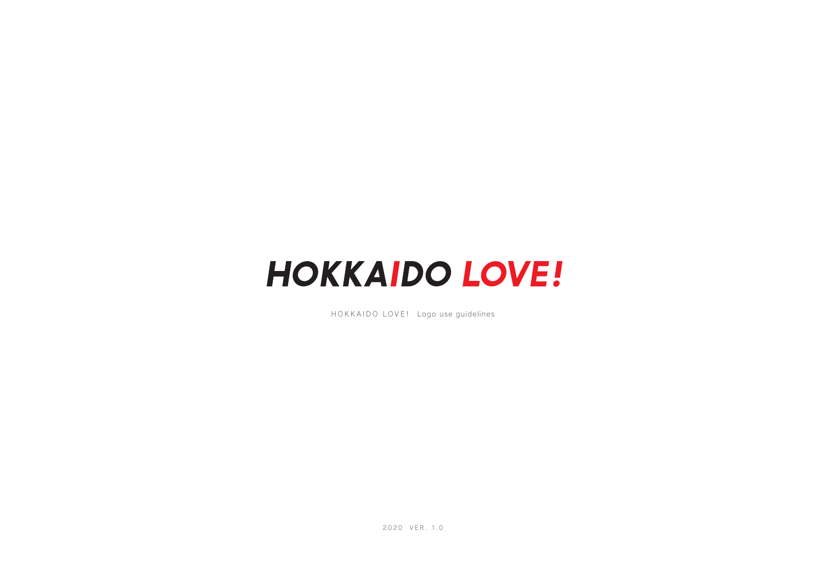## **HOKKAIDO LOVE!**

HOKKAIDO LOVE! Logo use guidelines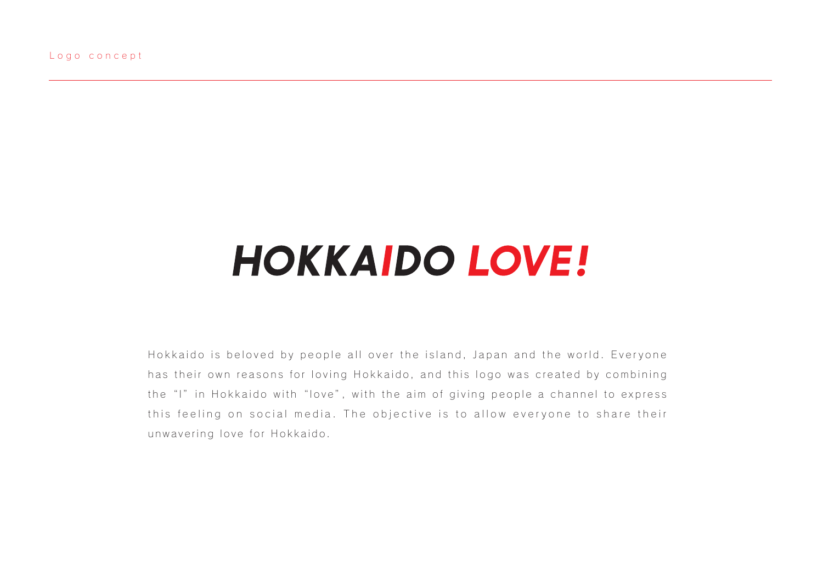## **HOKKAIDO LOVE!**

Hokkaido is beloved by people all over the island, Japan and the world. Everyone has their own reasons for loving Hokkaido, and this logo was created by combining the "I" in Hokkaido with "love", with the aim of giving people a channel to express this feeling on social media. The objective is to allow everyone to share their unwavering love for Hokkaido.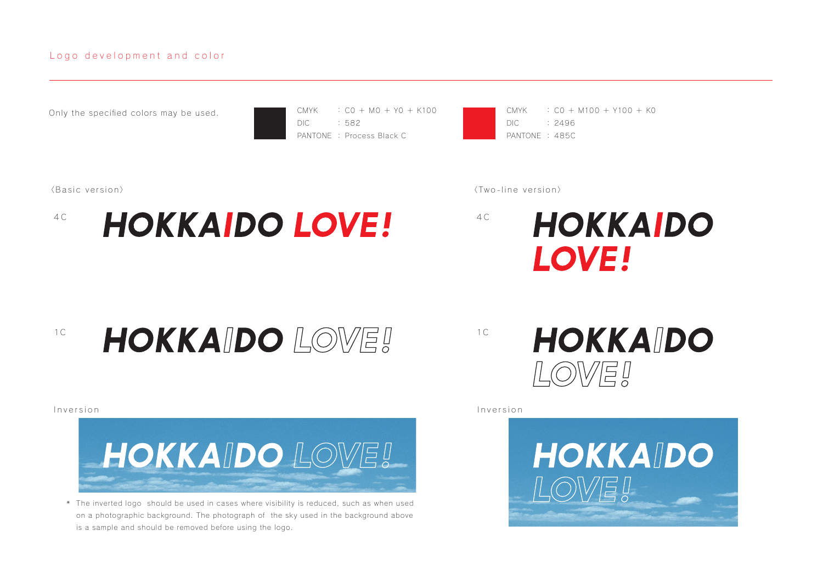## Logo development and color

Only the specified colors may be used.

CMYK DIC PANTONE : Process Black C : C0 + M0 + Y0 + K100 : 582

CMYK DIC PANTONE : 485C : C0 + M100 + Y100 + K0 : 2496



〈Basic version〉 〈Two-line ve rsion〉



<sup>1c</sup> **HOKKAIDO LOWEI** 



The inverted logo should be used in cases where visibility is reduced, such as when used \* on a photographic background. The photograph of the sky used in the background above is a sample and should be removed before using the logo.

**HOKKAIDO** LOWE!

Inversion Inversion

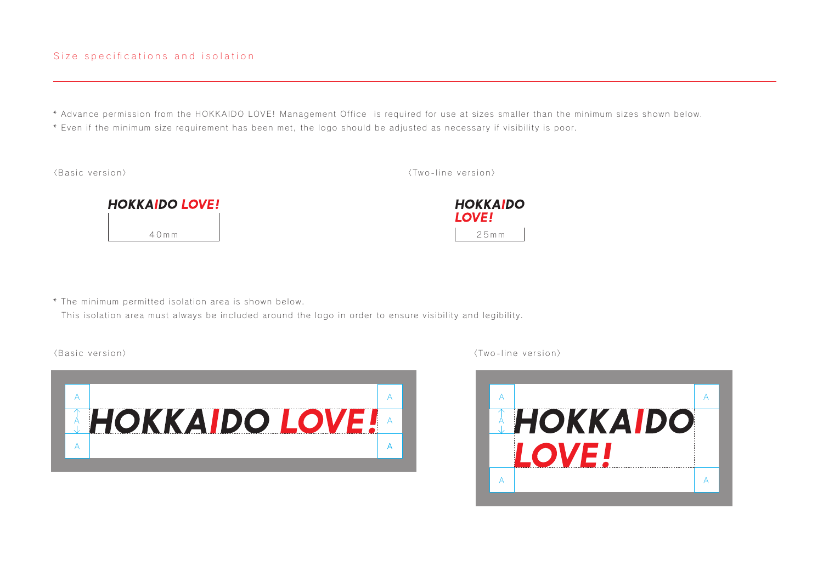\* Advance permission from the HOKKAIDO LOVE! Management Office is required for use at sizes smaller than the minimum sizes shown below.

\* Even if the minimum size requirement has been met, the logo should be adjusted as necessary if visibility is poor.

〈Basic version〉 〈Two-line ve rsion〉





\* The minimum permitted isolation area is shown below.

This isolation area must always be included around the logo in order to ensure visibility and legibility.



〈Basic version〉 〈Two-line ve rsion〉

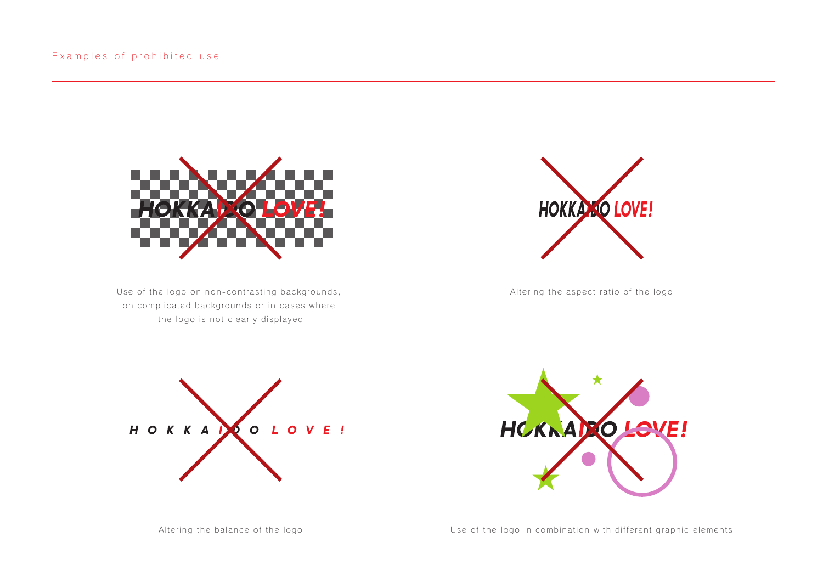

Use of the logo on non-contrasting backgrounds, on complicated backgrounds or in cases where the logo is not clearly displayed



Altering the aspect ratio of the logo





Altering the balance of the logo **National Exercise Communists** Use of the logo in combination with different graphic elements